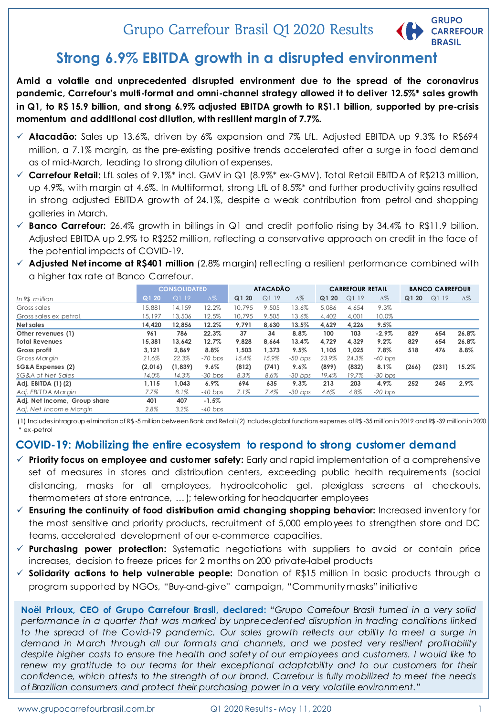

# **Strong 6.9% EBITDA growth in a disrupted environment**

**Amid a volatile and unprecedented disrupted environment due to the spread of the coronavirus pandemic, Carrefour's multi-format and omni-channel strategy allowed it to deliver 12.5%\* sales growth** in Q1, to R\$ 15.9 billion, and strong 6.9% adjusted EBITDA growth to R\$1.1 billion, supported by pre-crisis **momentum and additional cost dilution, with resilient margin of 7.7%.**

- **Atacadão:** Sales up 13.6%, driven by 6% expansion and 7% LfL. Adjusted EBITDA up 9.3% to R\$694 million, a 7.1% margin, as the pre-existing positive trends accelerated after a surge in food demand as of mid-March, leading to strong dilution of expenses.
- **Carrefour Retail:** LfL sales of 9.1%\* incl. GMV in Q1 (8.9%\* ex-GMV). Total Retail EBITDA of R\$213 million, up 4.9%, with margin at 4.6%. In Multiformat, strong LfL of 8.5%\* and further productivity gains resulted in strong adjusted EBITDA growth of 24.1%, despite a weak contribution from petrol and shopping galleries in March.
- **Banco Carrefour:** 26.4% growth in billings in Q1 and credit portfolio rising by 34.4% to R\$11.9 billion. Adjusted EBITDA up 2.9% to R\$252 million, reflecting a conservative approach on credit in the face of the potential impacts of COVID-19.
- **Adjusted Net income at R\$401 million** (2.8% margin) reflecting a resilient performance combined with a higher tax rate at Banco Carrefour.

|                              |         | <b>CONSOLIDATED</b> |            | <b>ATACADÃO</b> |       | <b>CARREFOUR RETAIL</b> |       |       | <b>BANCO CARREFOUR</b> |       |       |            |
|------------------------------|---------|---------------------|------------|-----------------|-------|-------------------------|-------|-------|------------------------|-------|-------|------------|
| In R\$ million               | Q120    | Q119                | $\Delta\%$ | Q1 20           | Q119  | $\Delta\%$              | Q1 20 | Q119  | $\Delta\%$             | Q120  | Q119  | $\Delta\%$ |
| Gross sales                  | 15,881  | 14,159              | 12.2%      | 10.795          | 9.505 | 13.6%                   | 5,086 | 4.654 | 9.3%                   |       |       |            |
| Gross sales ex petrol.       | 15,197  | 13,506              | 12.5%      | 10,795          | 9.505 | 13.6%                   | 4,402 | 4,001 | 10.0%                  |       |       |            |
| Net sales                    | 14,420  | 12,856              | 12.2%      | 9,791           | 8,630 | 13.5%                   | 4,629 | 4,226 | 9.5%                   |       |       |            |
| Other revenues (1)           | 961     | 786                 | 22.3%      | 37              | 34    | 8.8%                    | 100   | 103   | $-2.9%$                | 829   | 654   | 26.8%      |
| <b>Total Revenues</b>        | 15,381  | 13.642              | 12.7%      | 9,828           | 8.664 | 13.4%                   | 4.729 | 4.329 | 9.2%                   | 829   | 654   | 26.8%      |
| Gross profit                 | 3,121   | 2.869               | 8.8%       | 1.503           | 1.373 | 9.5%                    | 1.105 | 1.025 | 7.8%                   | 518   | 476   | 8.8%       |
| Gross Margin                 | 21.6%   | 22.3%               | $-70$ bps  | 15.4%           | 15.9% | $-50$ bps               | 23.9% | 24.3% | $-40$ bps              |       |       |            |
| SG&A Expenses (2)            | (2,016) | (1,839)             | 9.6%       | (812)           | (741) | 9.6%                    | (899) | (832) | 8.1%                   | (266) | (231) | 15.2%      |
| SG&A of Net Sales            | 14.0%   | 14.3%               | $-30$ bps  | 8.3%            | 8.6%  | $-30$ bps               | 19.4% | 19.7% | $-30$ bps              |       |       |            |
| Adj. EBITDA (1) (2)          | 1.115   | 1.043               | $6.9\%$    | 694             | 635   | 9.3%                    | 213   | 203   | 4.9%                   | 252   | 245   | 2.9%       |
| Adj. EBITDA Margin           | 7.7%    | 8.1%                | $-40$ bps  | 7.1%            | 7.4%  | $-30$ bps               | 4.6%  | 4.8%  | $-20$ bps              |       |       |            |
| Adj. Net Income, Group share | 401     | 407                 | $-1.5%$    |                 |       |                         |       |       |                        |       |       |            |
| Adi, Net Income Marain       | 2.8%    | 3.2%                | $-40$ bps  |                 |       |                         |       |       |                        |       |       |            |

(1) Includesintragroup elimination of R\$ -5 million between Bank and Retail(2) Includesglobal functions expenses ofR\$ -35 million in 2019 and R\$ -39 million in 2020 \* ex -petrol

## **COVID-19: Mobilizing the entire ecosystem to respond to strong customer demand**

- **Priority focus on employee and customer safety:** Early and rapid implementation of a comprehensive set of measures in stores and distribution centers, exceeding public health requirements (social distancing, masks for all employees, hydroalcoholic gel, plexiglass screens at checkouts, thermometers at store entrance, …); teleworking for headquarter employees
- **Ensuring the continuity of food distribution amid changing shopping behavior:** Increased inventory for the most sensitive and priority products, recruitment of 5,000 employees to strengthen store and DC teams, accelerated development of our e-commerce capacities.
- **Purchasing power protection:** Systematic negotiations with suppliers to avoid or contain price increases, decision to freeze prices for 2 months on 200 private-label products
- **Solidarity actions to help vulnerable people:** Donation of R\$15 million in basic products through a program supported by NGOs, "Buy-and-give" campaign, "Community masks" initiative

**Noël Prioux, CEO of Grupo Carrefour Brasil, declared:** *"Grupo Carrefour Brasil turned in a very solid performance in a quarter that was marked by unprecedented disruption in trading conditions linked to the spread of the Covid-19 pandemic. Our sales growth reflects our ability to meet a surge in demand in March through all our formats and channels, and we posted very resilient profitability* despite higher costs to ensure the health and safety of our employees and customers. I would like to *renew my gratitude to our teams for their exceptional adaptability and to our customers for their confidence, which attests to the strength of our brand. Carrefour is fully mobilized to meet the needs of Brazilian consumers and protect their purchasing power in a very volatile environment."*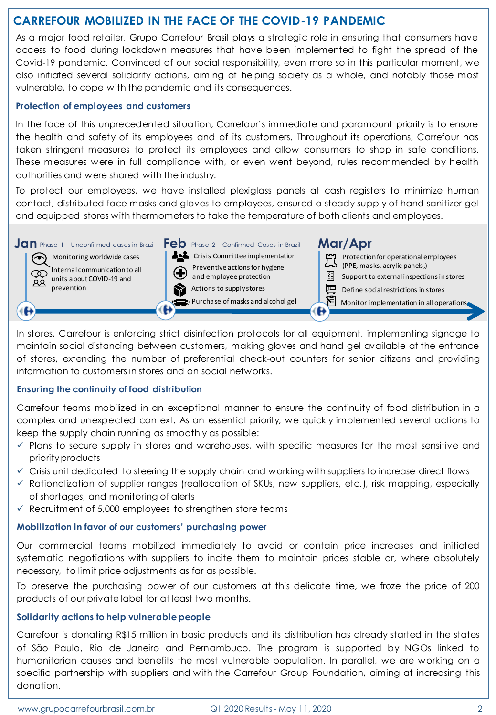## **CARREFOUR MOBILIZED IN THE FACE OF THE COVID-19 PANDEMIC**

As a major food retailer, Grupo Carrefour Brasil plays a strategic role in ensuring that consumers have access to food during lockdown measures that have been implemented to fight the spread of the Covid-19 pandemic. Convinced of our social responsibility, even more so in this particular moment, we also initiated several solidarity actions, aiming at helping society as a whole, and notably those most vulnerable, to cope with the pandemic and its consequences.

#### **Protection of employees and customers**

In the face of this unprecedented situation, Carrefour's immediate and paramount priority is to ensure the health and safety of its employees and of its customers. Throughout its operations, Carrefour has taken stringent measures to protect its employees and allow consumers to shop in safe conditions. These measures were in full compliance with, or even went beyond, rules recommended by health authorities and were shared with the industry.

To protect our employees, we have installed plexiglass panels at cash registers to minimize human contact, distributed face masks and gloves to employees, ensured a steady supply of hand sanitizer gel and equipped stores with thermometers to take the temperature of both clients and employees.

Jan Phase 1 – Unconfirmed cases in Brazil **Feb** Phase 2 – Confirmed Cases in Brazil **Mar/Apr** 

∢⊕)

( $\bigodot$ ) Monitoring worldwide cases Internal communication to all  $\infty$ units about COVID-19 and 88. prevention





⊛

**Age** Crisis Committee implementation Preventive actions for hygiene and employee protection Actions to supply stores

Purchase of masks and alcohol gel

⊛



呂 Monitor implementation in all operations

In stores, Carrefour is enforcing strict disinfection protocols for all equipment, implementing signage to maintain social distancing between customers, making gloves and hand gel available at the entrance of stores, extending the number of preferential check-out counters for senior citizens and providing information to customers in stores and on social networks.

#### **Ensuring the continuity of food distribution**

Carrefour teams mobilized in an exceptional manner to ensure the continuity of food distribution in a complex and unexpected context. As an essential priority, we quickly implemented several actions to keep the supply chain running as smoothly as possible:

- $\checkmark$  Plans to secure supply in stores and warehouses, with specific measures for the most sensitive and priorityproducts
- $\checkmark$  Crisis unit dedicated to steering the supply chain and working with suppliers to increase direct flows
- $\checkmark$  Rationalization of supplier ranges (reallocation of SKUs, new suppliers, etc.), risk mapping, especially of shortages, and monitoring of alerts
- $\checkmark$  Recruitment of 5,000 employees to strengthen store teams

#### **Mobilization in favor of our customers' purchasing power**

Our commercial teams mobilized immediately to avoid or contain price increases and initiated systematic negotiations with suppliers to incite them to maintain prices stable or, where absolutely necessary, to limit price adjustments as far as possible.

To preserve the purchasing power of our customers at this delicate time, we froze the price of 200 products of our private label for at least two months.

#### **Solidarity actions to help vulnerable people**

Carrefour is donating R\$15 million in basic products and its distribution has already started in the states of São Paulo, Rio de Janeiro and Pernambuco. The program is supported by NGOs linked to humanitarian causes and benefits the most vulnerable population. In parallel, we are working on a specific partnership with suppliers and with the Carrefour Group Foundation, aiming at increasing this donation.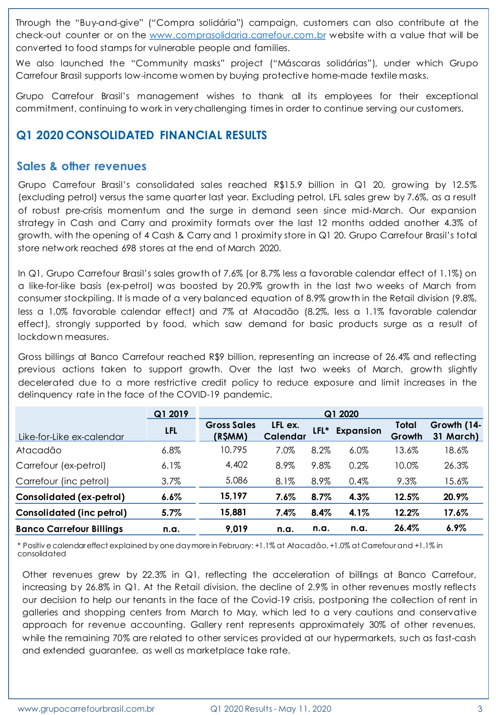Through the "Buy-and-give" ("Compra solidária") campaign, customers can also contribute at the check-out counter or on the [www.comprasolidaria.carrefour.com.br](http://www.comprasolidaria.carrefour.com.br/) website with a value that will be converted to food stamps for vulnerable people and families.

We also launched the "Community masks" project ("Máscaras solidárias"), under which Grupo Carrefour Brasil supports low-income women by buying protective home-made textile masks.

Grupo Carrefour Brasil's management wishes to thank all its employees for their exceptional commitment, continuing to work in verychallenging times in order to continue serving our customers.

## **Q1 2020 CONSOLIDATED FINANCIAL RESULTS**

#### **Sales & other revenues**

Grupo Carrefour Brasil's consolidated sales reached R\$15.9 billion in Q1 20, growing by 12.5% (excluding petrol) versus the same quarter last year. Excluding petrol, LFL sales grew by 7.6%, as a result of robust pre-crisis momentum and the surge in demand seen since mid-March. Our expansion strategy in Cash and Carry and proximity formats over the last 12 months added another 4.3% of growth, with the opening of 4 Cash & Carry and 1 proximity store in Q1 20. Grupo Carrefour Brasil's total store network reached 698 stores at the end of March 2020.

In Q1, Grupo Carrefour Brasil's sales growth of 7.6% (or 8.7% less a favorable calendar effect of 1.1%) on a like-for-like basis (ex-petrol) was boosted by 20.9% growth in the last two weeks of March from consumer stockpiling. It is made of a very balanced equation of 8.9% growth in the Retail division (9.8%, less a 1.0% favorable calendar effect) and 7% at Atacadão (8.2%, less a 1.1% favorable calendar effect), strongly supported by food, which saw demand for basic products surge as a result of lockdown measures.

Gross billings at Banco Carrefour reached R\$9 billion, representing an increase of 26.4% and reflecting previous actions taken to support growth. Over the last two weeks of March, growth slightly decelerated due to a more restrictive credit policy to reduce exposure and limit increases in the delinquency rate in the face of the COVID-19 pandemic.

|                                  | Q1 2019 | Q1 2020                       |                     |      |                  |                 |                          |  |
|----------------------------------|---------|-------------------------------|---------------------|------|------------------|-----------------|--------------------------|--|
| Like-for-Like ex-calendar        | LFL     | <b>Gross Sales</b><br>(R\$MM) | LFL ex.<br>Calendar | LFL* | <b>Expansion</b> | Total<br>Growth | Growth (14-<br>31 March) |  |
| Atacadão                         | $6.8\%$ | 10,795                        | 7.0%                | 8.2% | $6.0\%$          | 13.6%           | 18.6%                    |  |
| Carrefour (ex-petrol)            | $6.1\%$ | 4,402                         | 8.9%                | 9.8% | 0.2%             | 10.0%           | 26.3%                    |  |
| Carrefour (inc petrol)           | 3.7%    | 5,086                         | 8.1%                | 8.9% | 0.4%             | 9.3%            | 15.6%                    |  |
| <b>Consolidated (ex-petrol)</b>  | 6.6%    | 15,197                        | 7.6%                | 8.7% | 4.3%             | 12.5%           | 20.9%                    |  |
| <b>Consolidated (inc petrol)</b> | 5.7%    | 15,881                        | 7.4%                | 8.4% | 4.1%             | 12.2%           | 17.6%                    |  |
| <b>Banco Carrefour Billings</b>  | n.a.    | 9.019                         | n.a.                | n.a. | n.a.             | 26.4%           | $6.9\%$                  |  |

\* Positiv e calendar effect explained by one day more in February: +1.1% at Atacadão, +1.0% at Carrefour and +1.1% in consolidated

Other revenues grew by 22.3% in Q1, reflecting the acceleration of billings at Banco Carrefour, increasing by 26.8% in Q1. At the Retail division, the decline of 2.9% in other revenues mostly reflects our decision to help our tenants in the face of the Covid-19 crisis, postponing the collection of rent in galleries and shopping centers from March to May, which led to a very cautions and conservative approach for revenue accounting. Gallery rent represents approximately 30% of other revenues, while the remaining 70% are related to other services provided at our hypermarkets, such as fast-cash and extended guarantee, as well as marketplace take rate.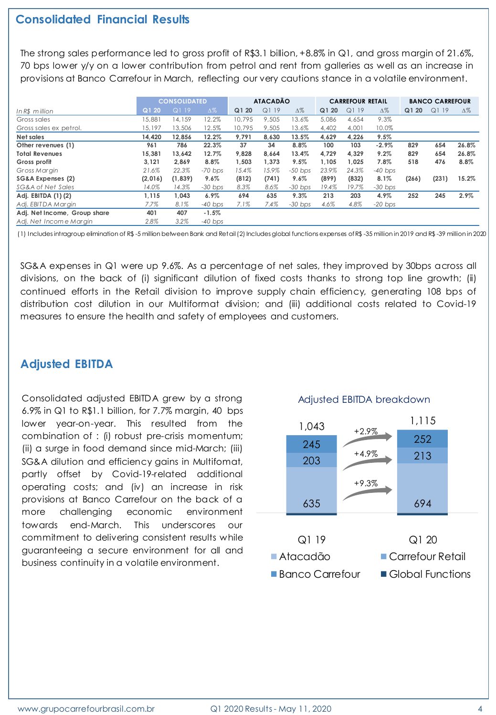## **Consolidated Financial Results**

The strong sales performance led to gross profit of R\$3.1 billion, +8.8% in Q1, and gross margin of 21.6%, 70 bps lower y/y on a lower contribution from petrol and rent from galleries as well as an increase in provisions at Banco Carrefour in March, reflecting our very cautions stance in a volatile environment.

|                              |         | <b>CONSOLIDATED</b> |            | <b>ATACADÃO</b> |       | <b>CARREFOUR RETAIL</b> |       |       | <b>BANCO CARREFOUR</b> |       |       |            |
|------------------------------|---------|---------------------|------------|-----------------|-------|-------------------------|-------|-------|------------------------|-------|-------|------------|
| In R\$ million               | Q1 20   | Q119                | $\Delta\%$ | Q1 20           | Q119  | $\Delta\%$              | Q1 20 | Q119  | $\Delta\%$             | Q120  | Q119  | $\Delta\%$ |
| Gross sales                  | 15,881  | 14,159              | 12.2%      | 10.795          | 9,505 | 13.6%                   | 5.086 | 4.654 | 9.3%                   |       |       |            |
| Gross sales ex petrol.       | 15,197  | 13,506              | 12.5%      | 10.795          | 9,505 | 13.6%                   | 4.402 | 4,001 | 10.0%                  |       |       |            |
| Net sales                    | 14.420  | 12.856              | 12.2%      | 9.791           | 8.630 | 13.5%                   | 4.629 | 4.226 | 9.5%                   |       |       |            |
| Other revenues (1)           | 961     | 786                 | 22.3%      | 37              | 34    | 8.8%                    | 100   | 103   | $-2.9%$                | 829   | 654   | 26.8%      |
| <b>Total Revenues</b>        | 15,381  | 13.642              | 12.7%      | 9.828           | 8,664 | 13.4%                   | 4.729 | 4.329 | 9.2%                   | 829   | 654   | 26.8%      |
| Gross profit                 | 3.121   | 2.869               | 8.8%       | 1.503           | 1.373 | 9.5%                    | 1.105 | 1.025 | 7.8%                   | 518   | 476   | 8.8%       |
| Gross Margin                 | 21.6%   | 22.3%               | $-70$ bps  | 15.4%           | 15.9% | $-50$ bps               | 23.9% | 24.3% | $-40$ bps              |       |       |            |
| SG&A Expenses (2)            | (2,016) | (1,839)             | 9.6%       | (812)           | (741) | 9.6%                    | (899) | (832) | 8.1%                   | (266) | (231) | 15.2%      |
| SG&A of Net Sales            | 14.0%   | 14.3%               | $-30$ bps  | 8.3%            | 8.6%  | $-30$ bps               | 19.4% | 19.7% | $-30$ bps              |       |       |            |
| Adj. EBITDA (1) (2)          | 1.115   | 1.043               | $6.9\%$    | 694             | 635   | 9.3%                    | 213   | 203   | 4.9%                   | 252   | 245   | 2.9%       |
| Adj. EBITDA Margin           | 7.7%    | 8.1%                | $-40$ bps  | 7.1%            | 7.4%  | $-30$ bps               | 4.6%  | 4.8%  | $-20$ bps              |       |       |            |
| Adj. Net Income, Group share | 401     | 407                 | $-1.5%$    |                 |       |                         |       |       |                        |       |       |            |
| Adj. Net Income Margin       | 2.8%    | 3.2%                | $-40$ bps  |                 |       |                         |       |       |                        |       |       |            |

(1) Includesintragroup elimination of R\$ -5 million between Bank and Retail(2) Includesglobal functions expenses ofR\$ -35 million in 2019 and R\$ -39 million in 2020

SG&A expenses in Q1 were up 9.6%. As a percentage of net sales, they improved by 30bps across all divisions, on the back of (i) significant dilution of fixed costs thanks to strong top line growth; (ii) continued efforts in the Retail division to improve supply chain efficiency, generating 108 bps of distribution cost dilution in our Multiformat division; and (iii) additional costs related to Covid-19 measures to ensure the health and safety of employees and customers.

## **Adjusted EBITDA**

Consolidated adjusted EBITDA grew by a strong 6.9% in Q1 to R\$1.1 billion, for 7.7% margin, 40 bps lower year-on-year. This resulted from the combination of : (i) robust pre-crisis momentum; (ii) a surge in food demand since mid-March; (iii) SG&A dilution and efficiency gains in Multifomat, partly offset by Covid-19-related additional operating costs; and (iv) an increase in risk provisions at Banco Carrefour on the back of a more challenging economic environment towards end-March. This underscores our commitment to delivering consistent results while guaranteeing a secure environment for all and business continuity in a volatile environment.

#### Adjusted EBITDA breakdown

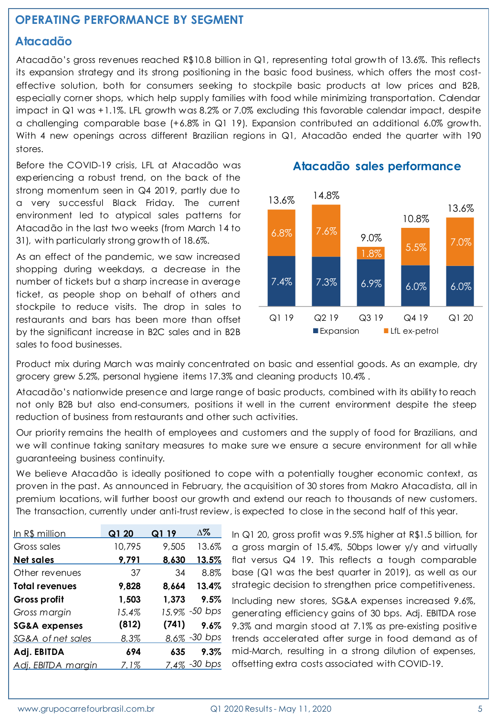#### **OPERATING PERFORMANCE BY SEGMENT**

#### **Atacadão**

Atacadão's gross revenues reached R\$10.8 billion in Q1, representing total growth of 13.6%. This reflects its expansion strategy and its strong positioning in the basic food business, which offers the most costeffective solution, both for consumers seeking to stockpile basic products at low prices and B2B, especially corner shops, which help supply families with food while minimizing transportation. Calendar impact in Q1 was +1.1%. LFL growth was 8.2% or 7.0% excluding this favorable calendar impact, despite a challenging comparable base (+6.8% in Q1 19). Expansion contributed an additional 6.0% growth. With 4 new openings across different Brazilian regions in Q1, Atacadão ended the quarter with 190 stores.

Before the COVID-19 crisis, LFL at Atacadão was **Atacadão sales performance** experiencing a robust trend, on the back of the strong momentum seen in Q4 2019, partly due to a very successful Black Friday. The current environment led to atypical sales patterns for Atacadão in the last two weeks (from March 14 to 31), with particularly strong growth of 18.6%.

As an effect of the pandemic, we saw increased shopping during weekdays, a decrease in the number of tickets but a sharp increase in average ticket, as people shop on behalf of others and stockpile to reduce visits. The drop in sales to restaurants and bars has been more than offset by the significant increase in B2C sales and in B2B sales to food businesses.





Product mix during March was mainly concentrated on basic and essential goods. As an example, dry grocery grew 5.2%, personal hygiene items 17.3% and cleaning products 10.4% .

Atacadão's nationwide presence and large range of basic products, combined with its ability to reach not only B2B but also end-consumers, positions it well in the current environment despite the steep reduction of business from restaurants and other such activities.

Our priority remains the health of employees and customers and the supply of food for Brazilians, and we will continue taking sanitary measures to make sure we ensure a secure environment for all while guaranteeing business continuity.

We believe Atacadão is ideally positioned to cope with a potentially tougher economic context, as proven in the past. As announced in February, the acquisition of 30 stores from Makro Atacadista, all in premium locations, will further boost our growth and extend our reach to thousands of new customers. The transaction, currently under anti-trust review, is expected to close in the second half of this year.

| In R\$ million           | Q1 20  | Q1 19 | Δ%            |
|--------------------------|--------|-------|---------------|
| Gross sales              | 10,795 | 9,505 | 13.6%         |
| <b>Net sales</b>         | 9,791  | 8,630 | 13.5%         |
| Other revenues           | 37     | 34    | 8.8%          |
| <b>Total revenues</b>    | 9,828  | 8,664 | 13.4%         |
| Gross profit             | 1,503  | 1,373 | 9.5%          |
| Gross margin             | 15.4%  |       | 15.9% -50 bps |
| <b>SG&amp;A</b> expenses | (812)  | (741) | 9.6%          |
| SG&A of net sales        | 8.3%   |       | 8.6% -30 bps  |
| Adj. EBITDA              | 694    | 635   | 9.3%          |
| Adj. EBITDA margin       | 7.1%   |       | 7.4% - 30 bps |

In Q1 20, gross profit was 9.5% higher at R\$1.5 billion, for a gross margin of 15.4%, 50bps lower y/y and virtually flat versus Q4 19. This reflects a tough comparable base (Q1 was the best quarter in 2019), as well as our strategic decision to strengthen price competitiveness.

Including new stores, SG&A expenses increased 9.6%, generating efficiency gains of 30 bps. Adj. EBITDA rose 9.3% and margin stood at 7.1% as pre-existing positive trends accelerated after surge in food demand as of mid-March, resulting in a strong dilution of expenses, offsetting extra costs associated with COVID-19.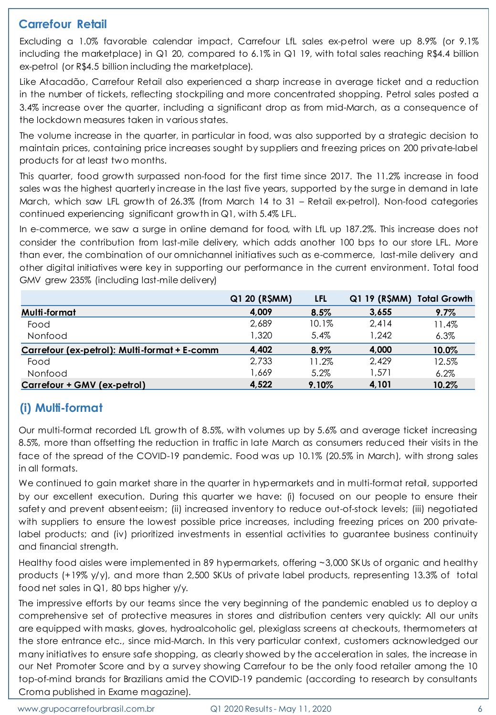#### **Carrefour Retail**

Excluding a 1.0% favorable calendar impact, Carrefour LfL sales ex-petrol were up 8.9% (or 9.1% including the marketplace) in Q1 20, compared to 6.1% in Q1 19, with total sales reaching R\$4.4 billion ex-petrol (or R\$4.5 billion including the marketplace).

Like Atacadão, Carrefour Retail also experienced a sharp increase in average ticket and a reduction in the number of tickets, reflecting stockpiling and more concentrated shopping. Petrol sales posted a 3.4% increase over the quarter, including a significant drop as from mid-March, as a consequence of the lockdown measures taken in various states.

The volume increase in the quarter, in particular in food, was also supported by a strategic decision to maintain prices, containing price increases sought by suppliers and freezing prices on 200 private-label products for at least two months.

This quarter, food growth surpassed non-food for the first time since 2017. The 11.2% increase in food sales was the highest quarterly increase in the last five years, supported by the surge in demand in late March, which saw LFL growth of 26.3% (from March 14 to 31 – Retail ex-petrol). Non-food categories continued experiencing significant growth in Q1, with 5.4% LFL.

In e-commerce, we saw a surge in online demand for food, with LfL up 187.2%. This increase does not consider the contribution from last-mile delivery, which adds another 100 bps to our store LFL. More than ever, the combination of our omnichannel initiatives such as e-commerce, last-mile delivery and other digital initiatives were key in supporting our performance in the current environment. Total food GMV grew 235% (including last-mile delivery)

|                                              | Q1 20 (R\$MM) | LFL   | Q1 19 (R\$MM) Total Growth |         |
|----------------------------------------------|---------------|-------|----------------------------|---------|
| Multi-format                                 | 4,009         | 8.5%  | 3,655                      | $9.7\%$ |
| Food                                         | 2,689         | 10.1% | 2.414                      | 11.4%   |
| Nonfood                                      | 1,320         | 5.4%  | 1,242                      | 6.3%    |
| Carrefour (ex-petrol): Multi-format + E-comm | 4,402         | 8.9%  | 4,000                      | 10.0%   |
| Food                                         | 2.733         | 11.2% | 2.429                      | 12.5%   |
| Nonfood                                      | 1,669         | 5.2%  | 1,571                      | 6.2%    |
| Carrefour + GMV (ex-petrol)                  | 4.522         | 9.10% | 4,101                      | 10.2%   |

## **(i) Multi-format**

Our multi-format recorded LfL growth of 8.5%, with volumes up by 5.6% and average ticket increasing 8.5%, more than offsetting the reduction in traffic in late March as consumers reduced their visits in the face of the spread of the COVID-19 pandemic. Food was up 10.1% (20.5% in March), with strong sales in all formats.

We continued to gain market share in the quarter in hypermarkets and in multi-format retail, supported by our excellent execution. During this quarter we have: (i) focused on our people to ensure their safety and prevent absenteeism; (ii) increased inventory to reduce out-of-stock levels; (iii) negotiated with suppliers to ensure the lowest possible price increases, including freezing prices on 200 privatelabel products; and (iv) prioritized investments in essential activities to guarantee business continuity and financial strength.

Healthy food aisles were implemented in 89 hypermarkets, offering ~3,000 SKUs of organic and healthy products (+19% y/y), and more than 2,500 SKUs of private label products, representing 13.3% of total food net sales in Q1, 80 bps higher y/y.

The impressive efforts by our teams since the very beginning of the pandemic enabled us to deploy a comprehensive set of protective measures in stores and distribution centers very quickly: All our units are equipped with masks, gloves, hydroalcoholic gel, plexiglass screens at checkouts, thermometers at the store entrance etc., since mid-March. In this very particular context, customers acknowledged our many initiatives to ensure safe shopping, as clearly showed by the acceleration in sales, the increase in our Net Promoter Score and by a survey showing Carrefour to be the only food retailer among the 10 top-of-mind brands for Brazilians amid the COVID-19 pandemic (according to research by consultants Croma published in Exame magazine).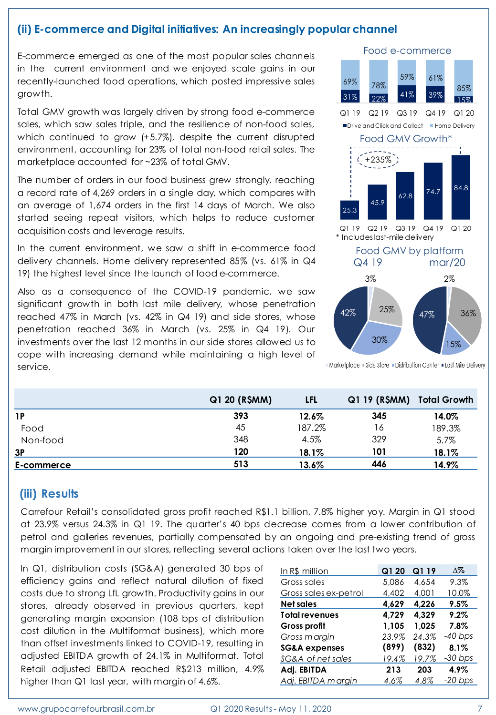#### **(ii) E-commerce and Digital initiatives: An increasingly popular channel**

E-commerce emerged as one of the most popular sales channels in the current environment and we enjoyed scale gains in our recently-launched food operations, which posted impressive sales growth.

Total GMV growth was largely driven by strong food e-commerce sales, which saw sales triple, and the resilience of non-food sales, which continued to grow (+5.7%), despite the current disrupted environment, accounting for 23% of total non-food retail sales. The marketplace accounted for ~23% of total GMV.

The number of orders in our food business grew strongly, reaching a record rate of 4,269 orders in a single day, which compares with an average of 1,674 orders in the first 14 days of March. We also started seeing repeat visitors, which helps to reduce customer acquisition costs and leverage results.

In the current environment, we saw a shift in e-commerce food delivery channels. Home delivery represented 85% (vs. 61% in Q4 19) the highest level since the launch of food e-commerce.

Also as a consequence of the COVID-19 pandemic, we saw significant growth in both last mile delivery, whose penetration reached 47% in March (vs. 42% in Q4 19) and side stores, whose penetration reached 36% in March (vs. 25% in Q4 19). Our investments over the last 12 months in our side stores allowed us to cope with increasing demand while maintaining a high level of service.



. Marketplace . Side Store . Distribution Center . Last Mile Delivery

|            | Q1 20 (R\$MM) | LFL    | Q1 19 (R\$MM) Total Growth |        |
|------------|---------------|--------|----------------------------|--------|
| 1P         | 393           | 12.6%  | 345                        | 14.0%  |
| Food       | 45            | 187.2% | 16                         | 189.3% |
| Non-food   | 348           | 4.5%   | 329                        | 5.7%   |
| 3Р         | 120           | 18.1%  | 101                        | 18.1%  |
| E-commerce | 513           | 13.6%  | 446                        | 14.9%  |

## **(iii) Results**

Carrefour Retail's consolidated gross profit reached R\$1.1 billion, 7.8% higher yoy. Margin in Q1 stood at 23.9% versus 24.3% in Q1 19. The quarter's 40 bps decrease comes from a lower contribution of petrol and galleries revenues, partially compensated by an ongoing and pre-existing trend of gross margin improvement in our stores, reflecting several actions taken over the last two years.

In Q1, distribution costs (SG&A) generated 30 bps of efficiency gains and reflect natural dilution of fixed costs due to strong LfL growth. Productivity gains in our stores, already observed in previous quarters, kept generating margin expansion (108 bps of distribution cost dilution in the Multiformat business), which more than offset investments linked to COVID-19, resulting in adjusted EBITDA growth of 24.1% in Multiformat. Total Retail adjusted EBITDA reached R\$213 million, 4.9% higher than Q1 last year, with margin of 4.6%.

| In R\$ million           | Q1 20 | Q1 19 | Δ%        |
|--------------------------|-------|-------|-----------|
| Gross sales              | 5,086 | 4,654 | 9.3%      |
| Gross sales ex-petrol    | 4,402 | 4,001 | 10.0%     |
| <b>Net sales</b>         | 4,629 | 4.226 | 9.5%      |
| <b>Total revenues</b>    | 4,729 | 4.329 | 9.2%      |
| Gross profit             | 1,105 | 1,025 | 7.8%      |
| Gross margin             | 23.9% | 24.3% | $-40$ bps |
| <b>SG&amp;A</b> expenses | (899) | (832) | 8.1%      |
| SG&A of net sales        | 19.4% | 19.7% | $-30$ bps |
| Adj. EBITDA              | 213   | 203   | 4.9%      |
| Adj. EBITDA margin       | 4.6%  | 4.8%  | $-20$ bps |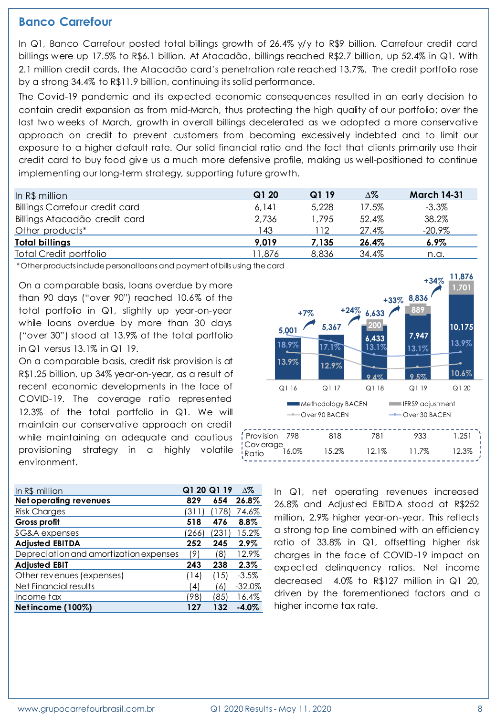#### **Banco Carrefour**

In Q1, Banco Carrefour posted total billings growth of 26.4% y/y to R\$9 billion. Carrefour credit card billings were up 17.5% to R\$6.1 billion. At Atacadão, billings reached R\$2.7 billion, up 52.4% in Q1. With 2.1 million credit cards, the Atacadão card's penetration rate reached 13.7%. The credit portfolio rose by a strong 34.4% to R\$11.9 billion, continuing its solid performance.

The Covid-19 pandemic and its expected economic consequences resulted in an early decision to contain credit expansion as from mid-March, thus protecting the high quality of our portfolio; over the last two weeks of March, growth in overall billings decelerated as we adopted a more conservative approach on credit to prevent customers from becoming excessively indebted and to limit our exposure to a higher default rate. Our solid financial ratio and the fact that clients primarily use their credit card to buy food give us a much more defensive profile, making us well-positioned to continue implementing our long-term strategy, supporting future growth.

| In R\$ million                        | Q120  | Q119  | Δ%    | <b>March 14-31</b> |
|---------------------------------------|-------|-------|-------|--------------------|
| <b>Billings Carrefour credit card</b> | 6.141 | 5,228 | 17.5% | $-3.3%$            |
| Billings Atacadão credit card         | 2,736 | .795  | 52.4% | 38.2%              |
| Other products*                       | 143   | 112   | 27.4% | $-20.9\%$          |
| <b>Total billings</b>                 | 9.019 | 7.135 | 26.4% | $6.9\%$            |
| <b>Total Credit portfolio</b>         | 1.876 | 8,836 | 34.4% | n.a.               |

\*Other products include personal loans and payment of bills using the card

On a comparable basis, loans overdue by more than 90 days ("over 90") reached 10.6% of the total portfolio in Q1, slightly up year-on-year while loans overdue by more than 30 days ("over 30") stood at 13.9% of the total portfolio in Q1 versus 13.1% in Q1 19.

On a comparable basis, credit risk provision is at R\$1.25 billion, up 34% year-on-year, as a result of recent economic developments in the face of COVID-19. The coverage ratio represented 12.3% of the total portfolio in Q1. We will maintain our conservative approach on credit while maintaining an adequate and cautious provisioning strategy in a highly volatile environment.

| In R\$ million                         | Q1 20 Q1 19       |      | Δ%       |
|----------------------------------------|-------------------|------|----------|
| Net operating revenues                 | 829               | 654  | 26.8%    |
| <b>Risk Charges</b>                    | (311              | 78)  | 74.6%    |
| <b>Gross profit</b>                    | 518               | 476  | 8.8%     |
| SG&A expenses                          | (266              | '231 | 15.2%    |
| <b>Adjusted EBITDA</b>                 | 252               | 245  | $2.9\%$  |
| Depreciation and amortization expenses | (9)               | '8   | 12.9%    |
| <b>Adjusted EBIT</b>                   | 243               | 238  | 2.3%     |
| Other revenues (expenses)              | (14)              | (15) | $-3.5%$  |
| Net Financial results                  | $\left( 4\right)$ | (6)  | $-32.0%$ |
| Income tax                             | (98)              | '85  | 16.4%    |
| Net income (100%)                      | 127               | 132  | $-4.0\%$ |

In Q1, net operating revenues increased 26.8% and Adjusted EBITDA stood at R\$252 million, 2.9% higher year-on-year. This reflects a strong top line combined with an efficiency ratio of 33.8% in Q1, offsetting higher risk charges in the face of COVID-19 impact on expected delinquency ratios. Net income decreased 4.0% to R\$127 million in Q1 20, driven by the forementioned factors and a higher income tax rate.

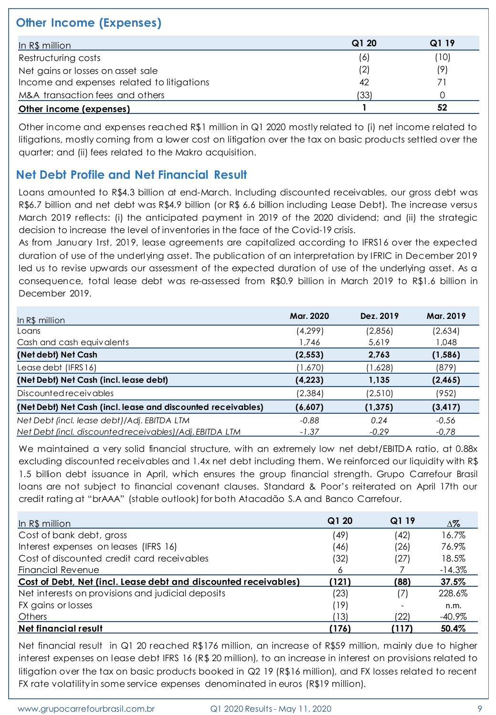## **Other Income (Expenses)**

| In R\$ million                             | Q120 | Q1 19 |
|--------------------------------------------|------|-------|
| Restructuring costs                        | (6)  | (10)  |
| Net gains or losses on asset sale          | (2)  | (9)   |
| Income and expenses related to litigations | 42   |       |
| M&A transaction fees and others            | (33) |       |
| Other income (expenses)                    |      | 52    |

Other income and expenses reached R\$1 million in Q1 2020 mostly related to (i) net income related to litigations, mostly coming from a lower cost on litigation over the tax on basic products settled over the quarter; and (ii) fees related to the Makro acquisition.

## **Net Debt Profile and Net Financial Result**

Loans amounted to R\$4.3 billion at end-March. Including discounted receivables, our gross debt was R\$6.7 billion and net debt was R\$4.9 billion (or R\$ 6.6 billion including Lease Debt). The increase versus March 2019 reflects: (i) the anticipated payment in 2019 of the 2020 dividend; and (ii) the strategic decision to increase the level of inventories in the face of the Covid-19 crisis.

As from January 1rst, 2019, lease agreements are capitalized according to IFRS16 over the expected duration of use of the underlying asset. The publication of an interpretation by IFRIC in December 2019 led us to revise upwards our assessment of the expected duration of use of the underlying asset. As a consequence, total lease debt was re-assessed from R\$0.9 billion in March 2019 to R\$1.6 billion in December 2019.

| In R\$ million                                               | Mar. 2020 | Dez. 2019 | Mar. 2019 |
|--------------------------------------------------------------|-----------|-----------|-----------|
| Loans                                                        | (4, 299)  | (2,856)   | (2,634)   |
| Cash and cash equivalents                                    | 1.746     | 5,619     | 1,048     |
| (Net debt) Net Cash                                          | (2, 553)  | 2,763     | (1,586)   |
| Lease debt (IFRS16)                                          | (1,670)   | (1,628)   | (879)     |
| (Net Debt) Net Cash (incl. lease debt)                       | (4, 223)  | 1,135     | (2,465)   |
| Discounted receivables                                       | (2,384)   | (2,510)   | (952)     |
| (Net Debt) Net Cash (incl. lease and discounted receivables) | (6,607)   | (1, 375)  | (3, 417)  |
| Net Debt (incl. lease debt)/Adj. EBITDA LTM                  | $-0.88$   | 0.24      | $-0.56$   |
| Net Debt (incl. discounted receivables) / Adj. EBITDA LTM    | -1.37     | $-0.29$   | $-0.78$   |

We maintained a very solid financial structure, with an extremely low net debt/EBITDA ratio, at 0.88x excluding discounted receivables and 1.4x net debt including them. We reinforced our liquidity with R\$ 1.5 billion debt issuance in April, which ensures the group financial strength. Grupo Carrefour Brasil loans are not subject to financial covenant clauses. Standard & Poor's reiterated on April 17th our credit rating at "brAAA" (stable outlook)for both Atacadão S.A and Banco Carrefour.

| In R\$ million                                                  | Q1 20 | Q1 19 | $\Delta\%$ |
|-----------------------------------------------------------------|-------|-------|------------|
| Cost of bank debt, gross                                        | (49)  | (42)  | 16.7%      |
| Interest expenses on leases (IFRS 16)                           | (46)  | (26)  | 76.9%      |
| Cost of discounted credit card receivables                      | (32)  | (27)  | 18.5%      |
| <b>Financial Revenue</b>                                        | 6     |       | $-14.3%$   |
| Cost of Debt, Net (incl. Lease debt and discounted receivables) | (121) | (88)  | 37.5%      |
| Net interests on provisions and judicial deposits               | (23)  | (7)   | 228.6%     |
| FX gains or losses                                              | (19)  |       | n.m.       |
| <b>Others</b>                                                   | '13)  | (22)  | $-40.9\%$  |
| Net financial result                                            | (176) | (117) | 50.4%      |

Net financial result in Q1 20 reached R\$176 million, an increase of R\$59 million, mainly due to higher interest expenses on lease debt IFRS 16 (R\$ 20 million), to an increase in interest on provisions related to litigation over the tax on basic products booked in Q2 19 (R\$16 million), and FX losses related to recent FX rate volatility in some service expenses denominated in euros (R\$19 million).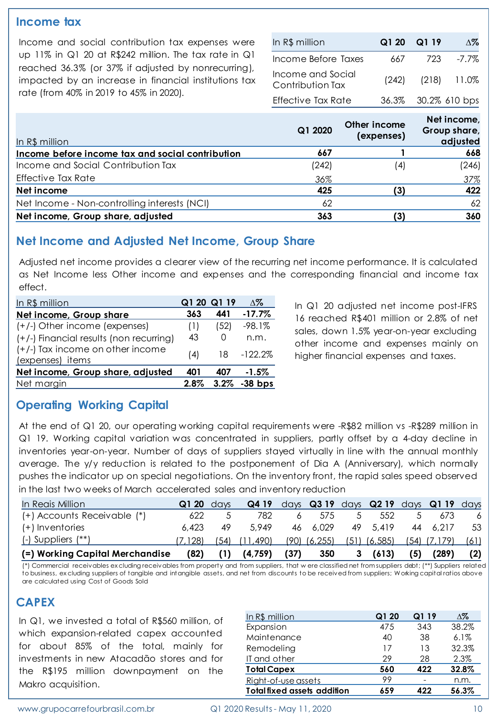#### **Income tax**

Income and social contribution tax expenses were up 11% in Q1 20 at R\$242 million. The tax rate in Q1 reached 36.3% (or 37% if adjusted by nonrecurring), impacted by an increase in financial institutions tax rate (from 40% in 2019 to 45% in 2020).

| In R\$ million                        |      | Q120Q119 | ۸%                    |
|---------------------------------------|------|----------|-----------------------|
| Income Before Taxes                   | 667. | 723      | -7.7%                 |
| Income and Social<br>Contribution Tax |      |          | $(242)$ $(218)$ 11.0% |
| Effective Tax Rate                    |      |          | 36.3% 30.2% 610 bps   |

| In R\$ million                                   | Q1 2020 | Other income<br>(expenses) | Net income,<br>Group share,<br>adjusted |
|--------------------------------------------------|---------|----------------------------|-----------------------------------------|
| Income before income tax and social contribution | 667     |                            | 668                                     |
| Income and Social Contribution Tax               | (242)   | (4)                        | (246)                                   |
| Effective Tax Rate                               | 36%     |                            | 37%                                     |
| Net income                                       | 425     | (3)                        | 422                                     |
| Net Income - Non-controlling interests (NCI)     | 62      |                            | 62                                      |
| Net income, Group share, adjusted                | 363     | (3)                        | 360                                     |

#### **Net Income and Adjusted Net Income, Group Share**

Adjusted net income provides a clearer view of the recurring net income performance. It is calculated as Net Income less Other income and expenses and the corresponding financial and income tax effect.

| In R\$ million                                       | Q1 20 Q1 19 |      | $\Delta\%$      |
|------------------------------------------------------|-------------|------|-----------------|
| Net income, Group share                              | 363         | 441  | $-17.7%$        |
| (+/-) Other income (expenses)                        | (1)         | (52) | $-98.1%$        |
| (+/-) Financial results (non recurring)              | 43          | O    | n.m.            |
| (+/-) Tax income on other income<br>(expenses) items | (4)         |      | $18 - 122.2\%$  |
| Net income, Group share, adjusted                    | 401         | 407  | $-1.5\%$        |
| Net margin                                           | 2.8%        |      | $3.2\% -38$ bps |

In Q1 20 adjusted net income post-IFRS 16 reached R\$401 million or 2.8% of net sales, down 1.5% year-on-year excluding other income and expenses mainly on higher financial expenses and taxes.

## **Operating Working Capital**

At the end of Q1 20, our operating working capital requirements were -R\$82 million vs -R\$289 million in Q1 19. Working capital variation was concentrated in suppliers, partly offset by a 4-day decline in inventories year-on-year. Number of days of suppliers stayed virtually in line with the annual monthly average. The y/y reduction is related to the postponement of Dia A (Anniversary), which normally pushes the indicator up on special negotiations. On the inventory front, the rapid sales speed observed in the last two weeks of March accelerated sales and inventory reduction

| In Reais Million                | Q120    | days | Q4 19             |      |                  |                  |     | days Q319 days Q219 days Q119 days |      |
|---------------------------------|---------|------|-------------------|------|------------------|------------------|-----|------------------------------------|------|
| (+) Accounts Receivable (*)     | 622     |      | 782               |      | 575              | 552              |     | 673                                |      |
| (+) Inventories                 | 6.423   | 49   | 5.949             |      | 46 6.029         | 49 5.419         | 44  | 6.217                              | -53  |
| $(-)$ Suppliers $(**)$          | (7.128) |      | $(54)$ $(11,490)$ |      | $(90)$ $(6,255)$ | $(51)$ $(6,585)$ |     | $(54)$ $(7,179)$                   | (61) |
| (=) Working Capital Merchandise | (82)    |      | (4.759)           | (37) | 350              | (613)            | (5) | (289)                              |      |

(\*) Commercial receivables ex cluding receivables from property and from suppliers, that w ere classified net from suppliers debt; (\*\*) Suppliers related to business, ex cluding suppliers of tangible and intangible assets, and net from discounts to be received from suppliers; W orking capital ratios above are calculated using Cost of Goods Sold

#### **CAPEX**

In Q1, we invested a total of R\$560 million, of which expansion-related capex accounted for about 85% of the total, mainly for investments in new Atacadão stores and for the R\$195 million downpayment on the Makro acquisition.

| In R\$ million                     | Q1 20 | Q1 19 | Δ%      |
|------------------------------------|-------|-------|---------|
| Expansion                          | 475   | 343   | 38.2%   |
| Maintenance                        | 40    | 38    | $6.1\%$ |
| Remodeling                         | 17    | 13    | 32.3%   |
| IT and other                       | 29    | 28    | 2.3%    |
| <b>Total Capex</b>                 | 560   | 422   | 32.8%   |
| Right-of-use assets                | 99    |       | n.m.    |
| <b>Total fixed assets addition</b> | 659   | 422   | 56.3%   |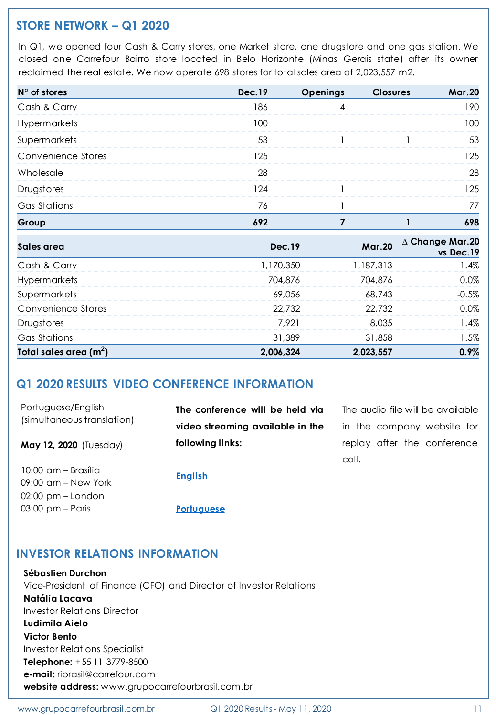## **STORE NETWORK – Q1 2020**

In Q1, we opened four Cash & Carry stores, one Market store, one drugstore and one gas station. We closed one Carrefour Bairro store located in Belo Horizonte (Minas Gerais state) after its owner reclaimed the real estate. We now operate 698 stores for total sales area of 2,023,557 m2.

| $N^{\circ}$ of stores | <b>Dec.19</b> | <b>Openings</b> | <b>Closures</b> | <b>Mar.20</b> |
|-----------------------|---------------|-----------------|-----------------|---------------|
| Cash & Carry          | 186           |                 |                 | 190           |
| Hypermarkets          | 100           |                 |                 | 100.          |
| Supermarkets          | 53            |                 |                 | 53            |
| Convenience Stores    | 125           |                 |                 | 125           |
| Wholesale             | 28            |                 |                 | 28            |
| Drugstores            | 24            |                 |                 | 125           |
| <b>Gas Stations</b>   | 76            |                 |                 |               |
| Group                 |               |                 |                 | 698           |

| Sales area              | Dec. 19   | <b>Mar.20</b> | $\Delta$ Change Mar.20<br>vs Dec.19 |
|-------------------------|-----------|---------------|-------------------------------------|
| Cash & Carry            | 1,170,350 | 1,187,313     | $.4\%$                              |
| <b>Hypermarkets</b>     | 704,876   | 704,876       | $0.0\%$                             |
| Supermarkets            | 69,056    | 68,743        | $-0.5%$                             |
| Convenience Stores      | 22,732    | 22,732        | $0.0\%$                             |
| Drugstores              | 7.921     | 8.035         | $.4\%$                              |
| Gas Stations            | 31,389    | 31,858        | 1.5%                                |
| Total sales area $(m2)$ | 2,006,324 | 2,023,557     | 0.9%                                |

## **Q1 2020 RESULTS VIDEO CONFERENCE INFORMATION**

| Portuguese/English                                                    | The conference will be held via  | The audio file will be available     |  |  |  |
|-----------------------------------------------------------------------|----------------------------------|--------------------------------------|--|--|--|
| (simultaneous translation)                                            | video streaming available in the | in the company website for           |  |  |  |
| <b>May 12, 2020</b> (Tuesday)                                         | following links:                 | replay after the conference<br>call. |  |  |  |
| 10:00 am – Brasília<br>$09:00$ am – New York<br>$02:00$ pm $-$ London | <b>English</b>                   |                                      |  |  |  |
| $03:00 \text{ pm} - \text{Paris}$                                     | <b>Portuguese</b>                |                                      |  |  |  |

## **INVESTOR RELATIONS INFORMATION**

**Sébastien Durchon** Vice-President of Finance (CFO) and Director of Investor Relations **Natália Lacava** Investor Relations Director **Ludimila Aielo Victor Bento** Investor Relations Specialist **Telephone:** +55 11 3779-8500 **e-mail:** ribrasil@carrefour.com **website address:** www.grupocarrefourbrasil.com.br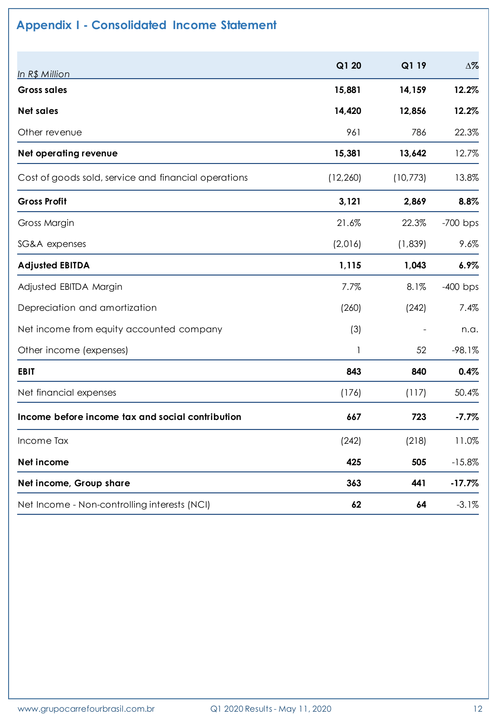## **Appendix I - Consolidated Income Statement**

| In R\$ Million                                       | Q1 20     | Q1 19     | $\Delta\%$ |
|------------------------------------------------------|-----------|-----------|------------|
| <b>Gross sales</b>                                   | 15,881    | 14,159    | 12.2%      |
| <b>Net sales</b>                                     | 14,420    | 12,856    | 12.2%      |
| Other revenue                                        | 961       | 786       | 22.3%      |
| Net operating revenue                                | 15,381    | 13,642    | 12.7%      |
| Cost of goods sold, service and financial operations | (12, 260) | (10, 773) | 13.8%      |
| <b>Gross Profit</b>                                  | 3,121     | 2,869     | 8.8%       |
| Gross Margin                                         | 21.6%     | 22.3%     | $-700$ bps |
| SG&A expenses                                        | (2,016)   | (1,839)   | 9.6%       |
| <b>Adjusted EBITDA</b>                               | 1,115     | 1,043     | 6.9%       |
| Adjusted EBITDA Margin                               | 7.7%      | 8.1%      | $-400$ bps |
| Depreciation and amortization                        | (260)     | (242)     | 7.4%       |
| Net income from equity accounted company             | (3)       |           | n.a.       |
| Other income (expenses)                              | 1         | 52        | $-98.1%$   |
| <b>EBIT</b>                                          | 843       | 840       | 0.4%       |
| Net financial expenses                               | (176)     | (117)     | 50.4%      |
| Income before income tax and social contribution     | 667       | 723       | $-7.7%$    |
| Income Tax                                           | (242)     | (218)     | 11.0%      |
| Net income                                           | 425       | 505       | $-15.8%$   |
| Net income, Group share                              | 363       | 441       | $-17.7%$   |
| Net Income - Non-controlling interests (NCI)         | 62        | 64        | $-3.1%$    |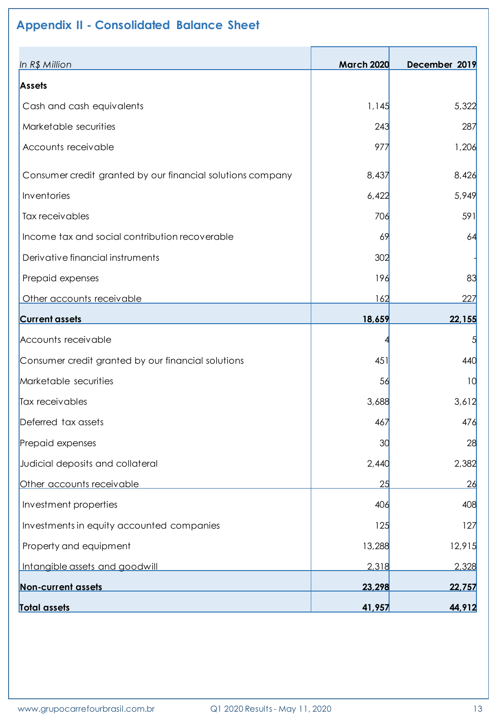# **Appendix II - Consolidated Balance Sheet**

| In R\$ Million                                             | <b>March 2020</b> | December 2019 |
|------------------------------------------------------------|-------------------|---------------|
| Assets                                                     |                   |               |
| Cash and cash equivalents                                  | 1,145             | 5,322         |
| Marketable securities                                      | 243               | 287           |
| Accounts receivable                                        | 977               | 1,206         |
| Consumer credit granted by our financial solutions company | 8,437             | 8,426         |
| Inventories                                                | 6,422             | 5,949         |
| Tax receivables                                            | 706               | 591           |
| Income tax and social contribution recoverable             | 69                | 64            |
| Derivative financial instruments                           | 302               |               |
| Prepaid expenses                                           | 196               | 83            |
| Other accounts receivable                                  | 162               | 227           |
| <b>Current assets</b>                                      | 18,659            | 22,155        |
| Accounts receivable                                        |                   |               |
| Consumer credit granted by our financial solutions         | 451               | 440           |
| Marketable securities                                      | 56                | 10            |
| Tax receivables                                            | 3,688             | 3,612         |
| Deferred tax assets                                        | 467               | 476           |
| Prepaid expenses                                           | 30                | 28            |
| Judicial deposits and collateral                           | 2,440             | 2,382         |
| Other accounts receivable                                  | 25                | 26            |
| Investment properties                                      | 406               | 408           |
| Investments in equity accounted companies                  | 125               | 127           |
| Property and equipment                                     | 13,288            | 12,915        |
| Intangible assets and goodwill                             | 2,318             | 2,328         |
| <b>Non-current assets</b>                                  | 23,298            | 22,757        |
| <b>Total assets</b>                                        | 41,957            | 44,912        |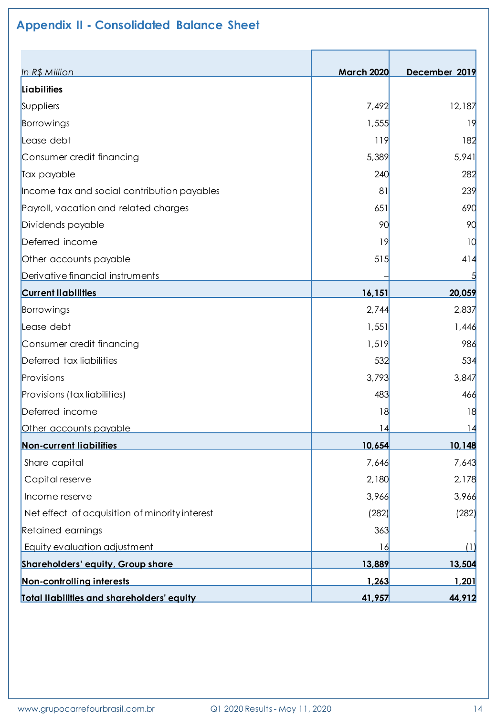# **Appendix II - Consolidated Balance Sheet**

| In R\$ Million                                 | <b>March 2020</b> | December 2019 |
|------------------------------------------------|-------------------|---------------|
| Liabilities                                    |                   |               |
| Suppliers                                      | 7,492             | 12,187        |
| Borrowings                                     | 1,555             | 19            |
| Lease debt                                     | 119               | 182           |
| Consumer credit financing                      | 5,389             | 5,941         |
| Tax payable                                    | 240               | 282           |
| Income tax and social contribution payables    | 81                | 239           |
| Payroll, vacation and related charges          | 651               | 690           |
| Dividends payable                              | 90                | 90            |
| Deferred income                                | 19                | 10            |
| Other accounts payable                         | 515               | 414           |
| Derivative financial instruments               |                   |               |
| <b>Current liabilities</b>                     | 16,151            | 20,059        |
| Borrowings                                     | 2,744             | 2,837         |
| Lease debt                                     | 1,551             | 1,446         |
| Consumer credit financing                      | 1,519             | 986           |
| Deferred tax liabilities                       | 532               | 534           |
| Provisions                                     | 3,793             | 3,847         |
| Provisions (tax liabilities)                   | 483               | 466           |
| Deferred income                                | 18                | 18            |
| Other accounts payable                         | 14                | 14            |
| <b>Non-current liabilities</b>                 | 10,654            | 10,148        |
| Share capital                                  | 7,646             | 7,643         |
| Capital reserve                                | 2,180             | 2,178         |
| Income reserve                                 | 3,966             | 3,966         |
| Net effect of acquisition of minority interest | (282)             | (282)         |
| Retained earnings                              | 363               |               |
| Equity evaluation adjustment                   | 16                | (1)           |
| <b>Shareholders' equity, Group share</b>       | 13,889            | 13,504        |
| Non-controlling interests                      | 1,263             | 1,201         |
| Total liabilities and shareholders' equity     | 41,957            | 44,912        |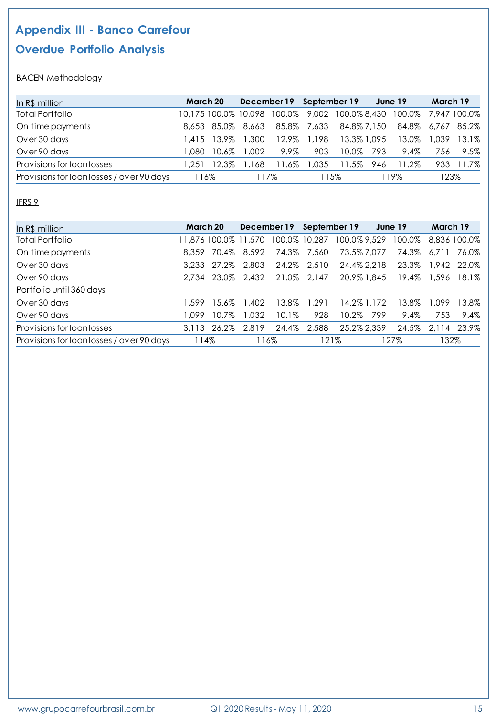## **Appendix III - Banco Carrefour**

## **Overdue Portfolio Analysis**

#### **BACEN Methodology**

| In $R\$ million                           | March 20 |             |              |       |       | December 19 September 19 |     | June 19                                                            | March 19 |           |
|-------------------------------------------|----------|-------------|--------------|-------|-------|--------------------------|-----|--------------------------------------------------------------------|----------|-----------|
| Total Portfolio                           |          |             |              |       |       |                          |     | 10,175 100.0% 10,098 100.0% 9,002 100.0% 8,430 100.0% 7,947 100.0% |          |           |
| On time payments                          |          |             |              |       |       |                          |     | 8,653 85.0% 8,663 85.8% 7,633 84.8% 7,150 84.8% 6,767 85.2%        |          |           |
| Over 30 days                              |          | 1.415 13.9% | 1.300        | 12.9% | 1,198 | 13.3% 1.095              |     | 13.0% 1.039                                                        |          | 13.1%     |
| Over 90 days                              | .080     | 10.6%       | 1.002        | 9.9%  | 903   | 10.0%                    | 793 | 9.4%                                                               | 756      | 9.5%      |
| Provisions for loan losses                | .251     | 12.3%       | 68<br>$\Box$ | 11.6% | 1.035 | 11.5%                    | 946 | 11.2%                                                              |          | 933 11.7% |
| Provisions for loan losses / over 90 days | 116%     |             |              | 117%  | 115%  |                          |     | । 19%                                                              | 123%     |           |

#### IFRS 9

| In R\$ million                            | March 20 |               | December 19          |          | September 19 |                            | June 19 |                     | March 19    |       |
|-------------------------------------------|----------|---------------|----------------------|----------|--------------|----------------------------|---------|---------------------|-------------|-------|
| Total Portfolio                           |          |               | 11.876 100.0% 11.570 |          |              | 100.0% 10,287 100.0% 9,529 |         | 100.0% 8.836 100.0% |             |       |
| On time payments                          | 8.359    | 70.4%         | 8,592                |          | 74.3% 7,560  | 73.5% 7,077                |         | 74.3% 6.711 76.0%   |             |       |
| Over 30 days                              |          | 3.233 27.2%   | 2,803                |          | 24.2% 2,510  | 24.4% 2.218                |         | 23.3% 1.942 22.0%   |             |       |
| Over 90 days                              |          | 2.734 23.0%   | 2.432                |          | 21.0% 2.147  | 20.9% 1.845                |         |                     | 19.4% 1.596 | 18.1% |
| Portfolio until 360 days                  |          |               |                      |          |              |                            |         |                     |             |       |
| Over 30 days                              | 1.599    | 15.6%         | 1,402                | 13.8%    | 1.291        | 14.2% 1,172                |         | 13.8%               | 1.099       | 13.8% |
| Over 90 days                              | 1.099    | $10.7\%$      | 1.032                | $10.1\%$ | 928          | 10.2%                      | 799     | 9.4%                | 753         | 9.4%  |
| Provisions for loan losses                |          | $3.113$ 26.2% | 2.819                |          | 24.4% 2.588  | 25.2% 2.339                |         | 24.5% 2.114 23.9%   |             |       |
| Provisions for loan losses / over 90 days | 114%     |               | 116%                 |          | 121%         |                            | 127%    |                     | 132%        |       |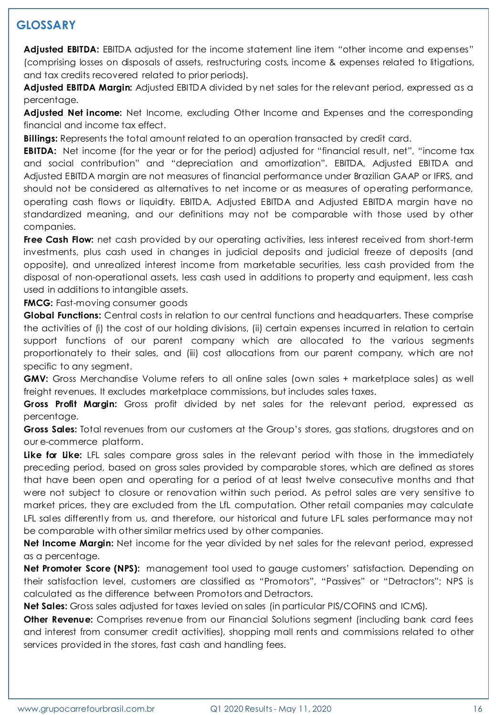## **GLOSSARY**

**Adjusted EBITDA:** EBITDA adjusted for the income statement line item "other income and expenses" (comprising losses on disposals of assets, restructuring costs, income & expenses related to litigations, and tax credits recovered related to prior periods).

**Adjusted EBITDA Margin:** Adjusted EBITDA divided by net sales for the relevant period, expressed as a percentage.

**Adjusted Net income:** Net Income, excluding Other Income and Expenses and the corresponding financial and income tax effect.

**Billings:** Represents the total amount related to an operation transacted by credit card.

**EBITDA:** Net income (for the year or for the period) adjusted for "financial result, net", "income tax and social contribution" and "depreciation and amortization". EBITDA, Adjusted EBITDA and Adjusted EBITDA margin are not measures of financial performance under Brazilian GAAP or IFRS, and should not be considered as alternatives to net income or as measures of operating performance, operating cash flows or liquidity. EBITDA, Adjusted EBITDA and Adjusted EBITDA margin have no standardized meaning, and our definitions may not be comparable with those used by other companies.

**Free Cash Flow:** net cash provided by our operating activities, less interest received from short-term investments, plus cash used in changes in judicial deposits and judicial freeze of deposits (and opposite), and unrealized interest income from marketable securities, less cash provided from the disposal of non-operational assets, less cash used in additions to property and equipment, less cash used in additions to intangible assets.

**FMCG:** Fast-moving consumer goods

**Global Functions:** Central costs in relation to our central functions and headquarters. These comprise the activities of (i) the cost of our holding divisions, (ii) certain expenses incurred in relation to certain support functions of our parent company which are allocated to the various segments proportionately to their sales, and (iii) cost allocations from our parent company, which are not specific to any segment.

**GMV:** Gross Merchandise Volume refers to all online sales (own sales + marketplace sales) as well freight revenues. It excludes marketplace commissions, but includes sales taxes.

**Gross Profit Margin:** Gross profit divided by net sales for the relevant period, expressed as percentage.

**Gross Sales:** Total revenues from our customers at the Group's stores, gas stations, drugstores and on our e-commerce platform.

**Like for Like:** LFL sales compare gross sales in the relevant period with those in the immediately preceding period, based on gross sales provided by comparable stores, which are defined as stores that have been open and operating for a period of at least twelve consecutive months and that were not subject to closure or renovation within such period. As petrol sales are very sensitive to market prices, they are excluded from the LfL computation. Other retail companies may calculate LFL sales differently from us, and therefore, our historical and future LFL sales performance may not be comparable with other similar metrics used by other companies.

**Net Income Margin:** Net income for the year divided by net sales for the relevant period, expressed as a percentage.

**Net Promoter Score (NPS):** management tool used to gauge customers' satisfaction. Depending on their satisfaction level, customers are classified as "Promotors", "Passives" or "Detractors"; NPS is calculated as the difference between Promotors and Detractors.

**Net Sales:** Gross sales adjusted for taxes levied on sales (in particular PIS/COFINS and ICMS).

**Other Revenue:** Comprises revenue from our Financial Solutions segment (including bank card fees and interest from consumer credit activities), shopping mall rents and commissions related to other services provided in the stores, fast cash and handling fees.